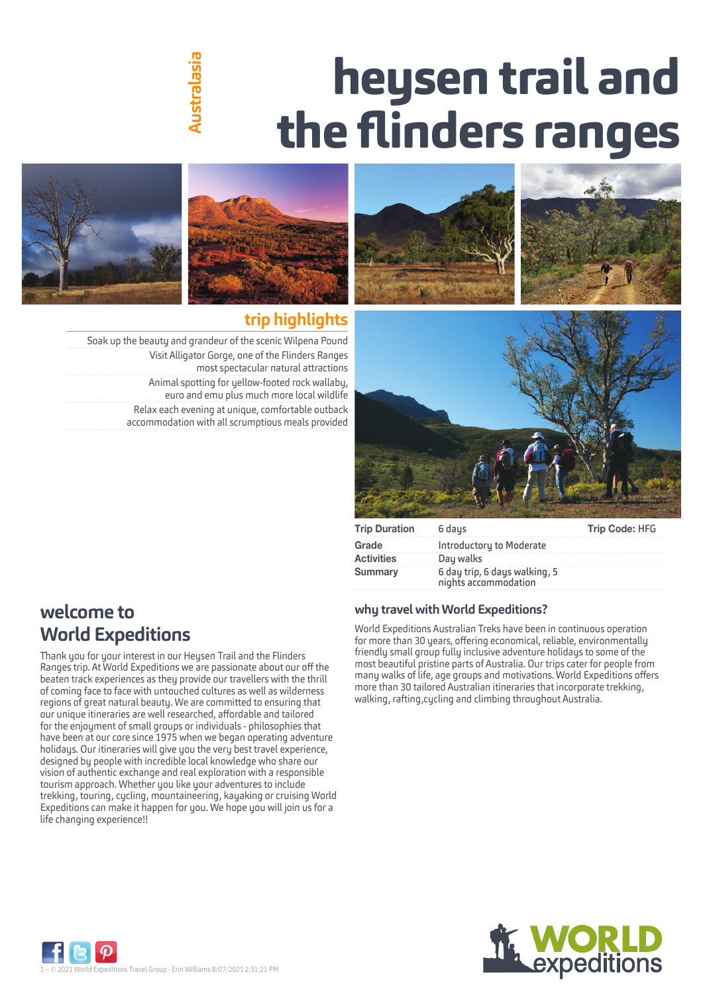# **heysen trail and the flinders ranges**

# hustralasia **Australasia**



# **trip highlights**

Soak up the beauty and grandeur of the scenic Wilpena Pound Visit Alligator Gorge, one of the Flinders Ranges most spectacular natural attractions Animal spotting for yellow‑footed rock wallaby, euro and emu plus much more local wildlife Relax each evening at unique, comfortable outback accommodation with all scrumptious meals provided







| <b>Trip Duration</b> | 6 daus                                                | Trip Code: HFG |
|----------------------|-------------------------------------------------------|----------------|
| Grade                | Introductory to Moderate                              |                |
| <b>Activities</b>    | Day walks                                             |                |
| Summary              | 6 day trip, 6 days walking, 5<br>nights accommodation |                |

# **welcome to World Expeditions**

Thank you for your interest in our Heysen Trail and the Flinders Ranges trip. At World Expeditions we are passionate about our off the beaten track experiences as they provide our travellers with the thrill of coming face to face with untouched cultures as well as wilderness regions of great natural beauty. We are committed to ensuring that our unique itineraries are well researched, affordable and tailored for the enjoyment of small groups or individuals ‑ philosophies that have been at our core since 1975 when we began operating adventure holidays. Our itineraries will give you the very best travel experience, designed by people with incredible local knowledge who share our vision of authentic exchange and real exploration with a responsible tourism approach. Whether you like your adventures to include trekking, touring, cycling, mountaineering, kayaking or cruising World Expeditions can make it happen for you. We hope you will join us for a life changing experience!!

### **why travel with World Expeditions?**

World Expeditions Australian Treks have been in continuous operation for more than 30 years, offering economical, reliable, environmentally friendly small group fully inclusive adventure holidays to some of the most beautiful pristine parts of Australia. Our trips cater for people from many walks of life, age groups and motivations. World Expeditions offers more than 30 tailored Australian itineraries that incorporate trekking, walking, rafting,cycling and climbing throughout Australia.



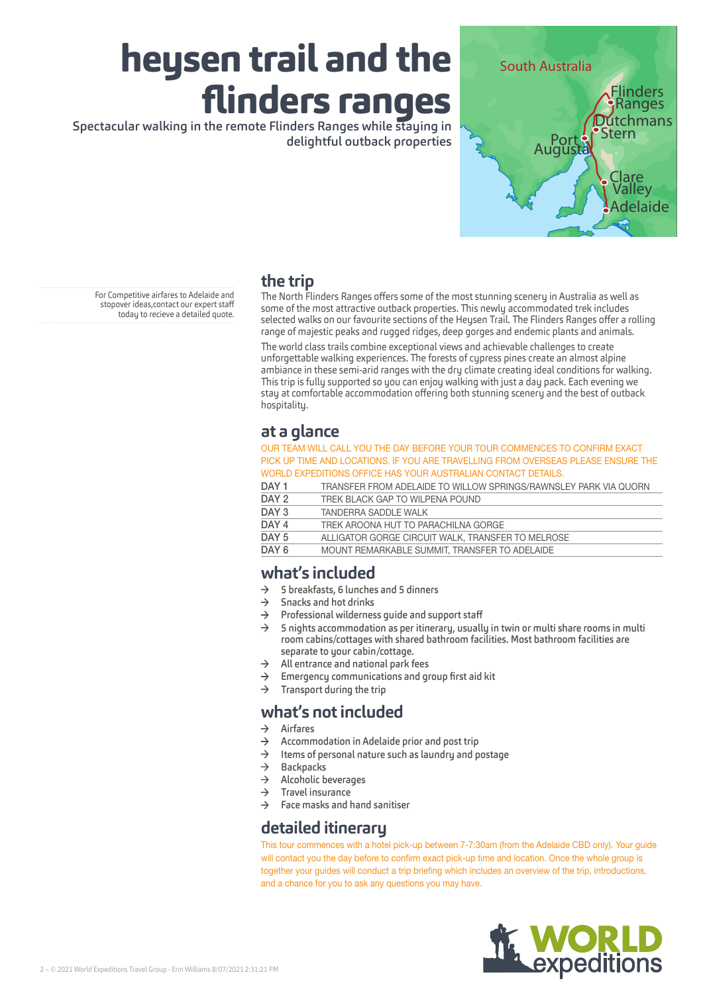delightful outback properties



# **the trip**

For Competitive airfares to Adelaide and stopover ideas,contact our expert staff today to recieve a detailed quote.

The North Flinders Ranges offers some of the most stunning scenery in Australia as well as some of the most attractive outback properties. This newly accommodated trek includes selected walks on our favourite sections of the Heysen Trail. The Flinders Ranges offer a rolling range of majestic peaks and rugged ridges, deep gorges and endemic plants and animals.

The world class trails combine exceptional views and achievable challenges to create unforgettable walking experiences. The forests of cypress pines create an almost alpine ambiance in these semi-arid ranges with the dry climate creating ideal conditions for walking. This trip is fully supported so you can enjoy walking with just a day pack. Each evening we stay at comfortable accommodation offering both stunning scenery and the best of outback hospitality.

# **at a glance**

OUR TEAM WILL CALL YOU THE DAY BEFORE YOUR TOUR COMMENCES TO CONFIRM EXACT PICK UP TIME AND LOCATIONS. IF YOU ARE TRAVELLING FROM OVERSEAS PLEASE ENSURE THE WORLD EXPEDITIONS OFFICE HAS YOUR AUSTRALIAN CONTACT DETAILS.

DAY 1 TRANSFER FROM ADELAIDE TO WILLOW SPRINGS/RAWNSLEY PARK VIA QUORN

| ---     | TERNINGE ET LEIGHT AR ERAIRE TO THEROTT OF FINTOGRAPHY OR FAITH AN IN THAT QUOTT |
|---------|----------------------------------------------------------------------------------|
| DAY 2   | TREK BLACK GAP TO WILPENA POUND                                                  |
| DAY 3   | TANDERRA SADDI E WAI K                                                           |
| DAY 4   | TREK AROONA HUT TO PARACHILNA GORGE                                              |
| DAY 5   | ALLIGATOR GORGE CIRCUIT WALK, TRANSFER TO MELROSE                                |
| $m + 1$ |                                                                                  |

DAY 6 MOUNT REMARKABLE SUMMIT, TRANSFER TO ADELAIDE

## **what's included**

- $\rightarrow$  5 breakfasts, 6 lunches and 5 dinners
- $\rightarrow$  Snacks and hot drinks
- $\rightarrow$  Professional wilderness guide and support staff<br> $\rightarrow$  5 pights accommodation as per itingrary usually
- 5 nights accommodation as per itinerary, usually in twin or multi share rooms in multi room cabins/cottages with shared bathroom facilities. Most bathroom facilities are separate to your cabin/cottage.
- $\rightarrow$  All entrance and national park fees
- $\rightarrow$  Emergency communications and group first aid kit
- $\rightarrow$  Transport during the trip

## **what's not included**

- $\rightarrow$  Airfares
- $\rightarrow$  Accommodation in Adelaide prior and post trip
- $\rightarrow$  Items of personal nature such as laundry and postage
- $\rightarrow$  Backpacks<br>  $\rightarrow$  Alcoholic b
- Alcoholic beverages
- $\rightarrow$  Travel insurance
- $\rightarrow$  Face masks and hand sanitiser

### **detailed itinerary**

This tour commences with a hotel pick-up between 7-7:30am (from the Adelaide CBD only). Your guide will contact you the day before to confirm exact pick-up time and location. Once the whole group is together your guides will conduct a trip briefing which includes an overview of the trip, introductions, and a chance for you to ask any questions you may have.

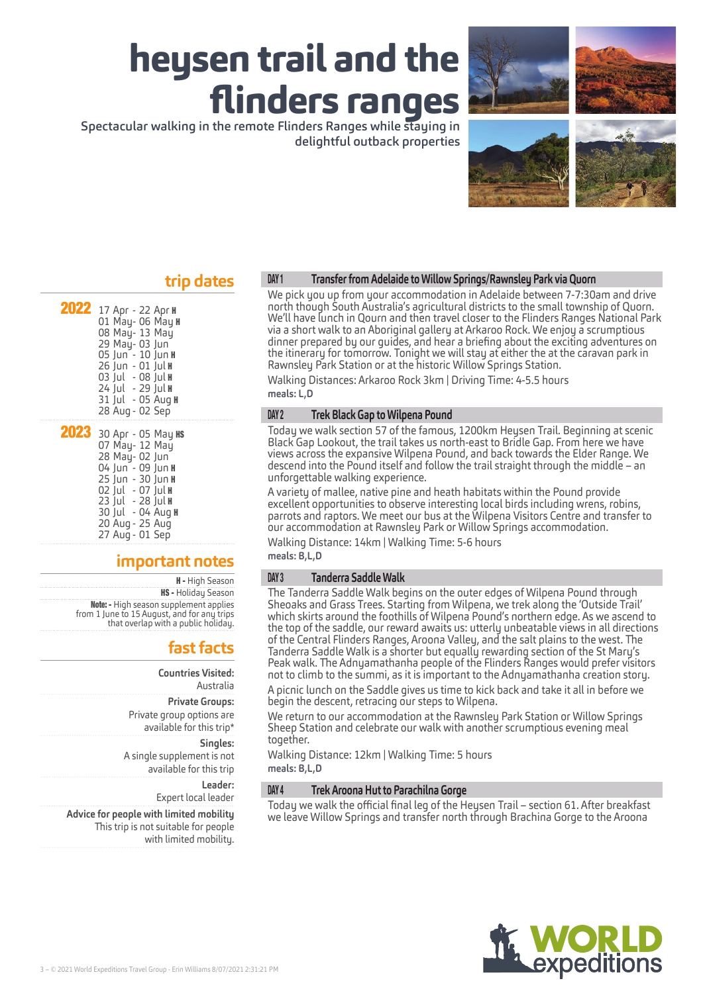delightful outback properties



### **trip dates**

| 2022 17 Apr - 22 Apr H<br>01 May- 06 May <b>H</b><br>08 May- 13 May<br>29 May- 03 Jun<br>05 Jun - 10 Jun H<br>26 Jun - 01 Jul H<br>03 Jul - 08 Jul <b>H</b><br>24 Jul - 29 Jul H<br>31 Jul - 05 Aug H<br>28 Aug - 02 Sep        |
|---------------------------------------------------------------------------------------------------------------------------------------------------------------------------------------------------------------------------------|
| 2023 30 Apr - 05 May KS<br>07 May- 12 May<br>28 May- 02 Jun<br>04 Jun - 09 Jun <b>H</b><br>25 Jun - 30 Jun <b>H</b><br>02 Jul - 07 Jul H<br>23 Jul - 28 Jul <b>H</b><br>30 Jul - 04 Aug H<br>20 Aug - 25 Aug<br>27 Aug - 01 Sep |

### **important notes**

H - High Season **HS - Holiday Season** Note: - High season supplement applies from 1 June to 15 August, and for any trips that overlap with a public holiday.

# **fast facts**

**Countries Visited:** Australia **Private Groups:** Private group options are available for this trip\*

**Singles:** A single supplement is not available for this trip

> **Leader:** Expert local leader

**Advice for people with limited mobility** This trip is not suitable for people with limited mobility.

#### DAY 1 **Transfer from Adelaide to Willow Springs/Rawnsley Park via Quorn**

We pick you up from your accommodation in Adelaide between 7-7:30am and drive north though South Australia's agricultural districts to the small township of Quorn. We'll have lunch in Qourn and then travel closer to the Flinders Ranges National Park via a short walk to an Aboriginal gallery at Arkaroo Rock. We enjoy a scrumptious dinner prepared by our guides, and hear a briefing about the exciting adventures on the itinerary for tomorrow. Tonight we will stay at either the at the caravan park in Rawnsley Park Station or at the historic Willow Springs Station.

Walking Distances: Arkaroo Rock 3km | Driving Time: 4-5.5 hours **meals: L,D**

#### DAY 2 **Trek Black Gap to Wilpena Pound**

Today we walk section 57 of the famous, 1200km Heysen Trail. Beginning at scenic Black Gap Lookout, the trail takes us north-east to Bridle Gap. From here we have views across the expansive Wilpena Pound, and back towards the Elder Range. We descend into the Pound itself and follow the trail straight through the middle – an unforgettable walking experience.

A variety of mallee, native pine and heath habitats within the Pound provide excellent opportunities to observe interesting local birds including wrens, robins, parrots and raptors. We meet our bus at the Wilpena Visitors Centre and transfer to our accommodation at Rawnsley Park or Willow Springs accommodation.

Walking Distance: 14km | Walking Time: 5-6 hours **meals: B,L,D**

#### DAY 3 **Tanderra Saddle Walk**

The Tanderra Saddle Walk begins on the outer edges of Wilpena Pound through Sheoaks and Grass Trees. Starting from Wilpena, we trek along the 'Outside Trail' which skirts around the foothills of Wilpena Pound's northern edge. As we ascend to the top of the saddle, our reward awaits us: utterly unbeatable views in all directions of the Central Flinders Ranges, Aroona Valley, and the salt plains to the west. The Tanderra Saddle Walk is a shorter but equally rewarding section of the St Mary's Peak walk. The Adnyamathanha people of the Flinders Ranges would prefer visitors not to climb to the summi, as it is important to the Adnyamathanha creation story.

A picnic lunch on the Saddle gives us time to kick back and take it all in before we begin the descent, retracing our steps to Wilpena.

We return to our accommodation at the Rawnsley Park Station or Willow Springs Sheep Station and celebrate our walk with another scrumptious evening meal together.

Walking Distance: 12km | Walking Time: 5 hours **meals: B,L,D**

#### DAY 4 **Trek Aroona Hut to Parachilna Gorge**

Today we walk the official final leg of the Heysen Trail – section 61. After breakfast we leave Willow Springs and transfer north through Brachina Gorge to the Aroona

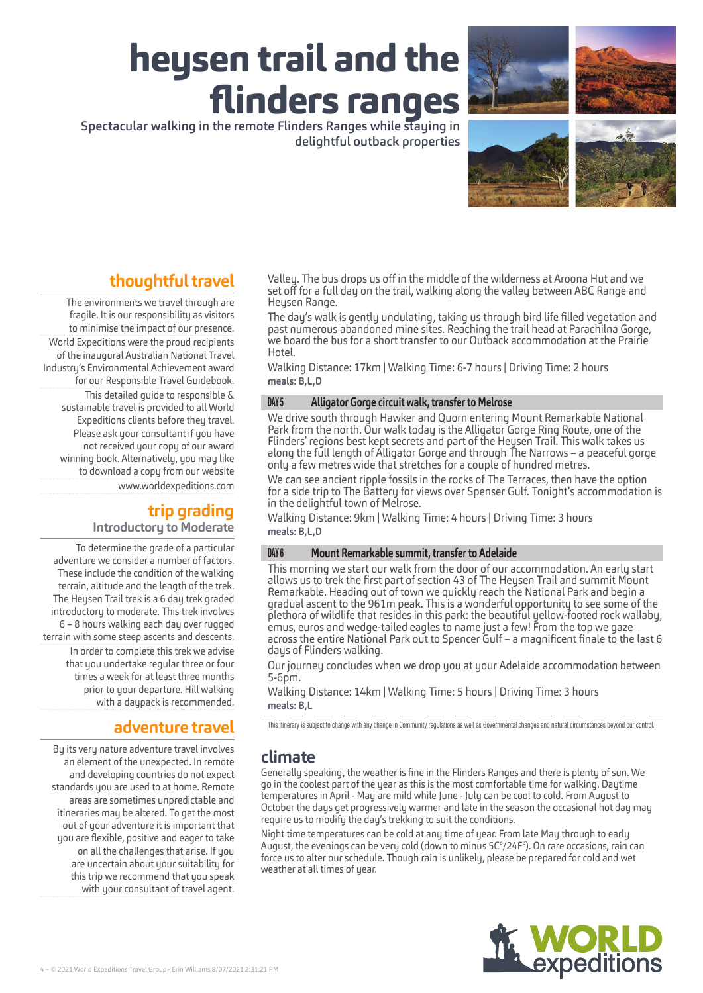delightful outback properties



# **thoughtful travel**

The environments we travel through are fragile. It is our responsibility as visitors to minimise the impact of our presence. World Expeditions were the proud recipients of the inaugural Australian National Travel Industry's Environmental Achievement award for our Responsible Travel Guidebook. This detailed guide to responsible & sustainable travel is provided to all World Expeditions clients before they travel. Please ask your consultant if you have not received your copy of our award winning book. Alternatively, you may like to download a copy from our website www.worldexpeditions.com

### **trip grading Introductory to Moderate**

To determine the grade of a particular adventure we consider a number of factors. These include the condition of the walking terrain, altitude and the length of the trek. The Heysen Trail trek is a 6 day trek graded introductory to moderate. This trek involves 6 – 8 hours walking each day over rugged terrain with some steep ascents and descents. In order to complete this trek we advise that you undertake regular three or four times a week for at least three months prior to your departure. Hill walking with a daypack is recommended.

# **adventure travel**

Bu its veru nature adventure travel involves an element of the unexpected. In remote and developing countries do not expect standards you are used to at home. Remote areas are sometimes unpredictable and itineraries may be altered. To get the most out of your adventure it is important that you are flexible, positive and eager to take on all the challenges that arise. If you are uncertain about your suitability for this trip we recommend that you speak with your consultant of travel agent.

Valley. The bus drops us off in the middle of the wilderness at Aroona Hut and we set off for a full day on the trail, walking along the valley between ABC Range and Heysen Range.

The day's walk is gently undulating, taking us through bird life filled vegetation and past numerous abandoned mine sites. Reaching the trail head at Parachilna Gorge, we board the bus for a short transfer to our Outback accommodation at the Prairie Hotel.

Walking Distance: 17km | Walking Time: 6-7 hours | Driving Time: 2 hours **meals: B,L,D**

#### DAY 5 **Alligator Gorge circuit walk, transfer to Melrose**

We drive south through Hawker and Quorn entering Mount Remarkable National Park from the north. Our walk today is the Alligator Gorge Ring Route, one of the Flinders' regions best kept secrets and part of the Heysen Trail. This walk takes us along the full length of Alligator Gorge and through The Narrows – a peaceful gorge only a few metres wide that stretches for a couple of hundred metres.

We can see ancient ripple fossils in the rocks of The Terraces, then have the option for a side trip to The Battery for views over Spenser Gulf. Tonight's accommodation is in the delightful town of Melrose.

Walking Distance: 9km | Walking Time: 4 hours | Driving Time: 3 hours **meals: B,L,D**

#### DAY 6 **Mount Remarkable summit, transfer to Adelaide**

This morning we start our walk from the door of our accommodation. An early start allows us to trek the first part of section 43 of The Heysen Trail and summit Mount Remarkable. Heading out of town we quickly reach the National Park and begin a gradual ascent to the 961m peak. This is a wonderful opportunity to see some of the plethora of wildlife that resides in this park: the beautiful yellow-footed rock wallaby, across the entire National Park out to Spencer Gulf – a magnificent finale to the last 6 days of Flinders walking.

Our journey concludes when we drop you at your Adelaide accommodation between 5-6pm.

Walking Distance: 14km | Walking Time: 5 hours | Driving Time: 3 hours **meals: B,L**

This itinerary is subject to change with any change in Community regulations as well as Governmental changes and natural circumstances beyond our control.

### **climate**

Generally speaking, the weather is fine in the Flinders Ranges and there is plenty of sun. We go in the coolest part of the year as this is the most comfortable time for walking. Daytime temperatures in April ‑ May are mild while June ‑ July can be cool to cold. From August to October the days get progressively warmer and late in the season the occasional hot day may require us to modify the day's trekking to suit the conditions.

Night time temperatures can be cold at any time of year. From late May through to early August, the evenings can be very cold (down to minus 5C°/24F°). On rare occasions, rain can force us to alter our schedule. Though rain is unlikely, please be prepared for cold and wet weather at all times of year.

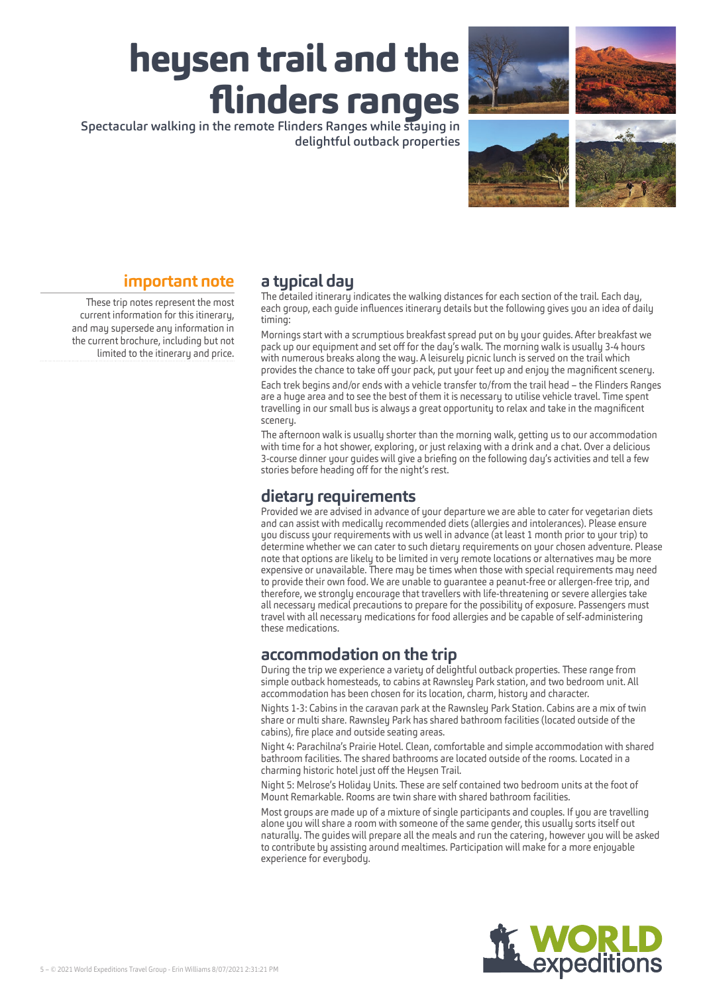



## **important note**

These trip notes represent the most current information for this itinerary, and may supersede any information in the current brochure, including but not limited to the itinerary and price.

# **a typical day**

The detailed itinerary indicates the walking distances for each section of the trail. Each day, each group, each guide influences itinerary details but the following gives you an idea of daily timing:

Mornings start with a scrumptious breakfast spread put on by your guides. After breakfast we pack up our equipment and set off for the day's walk. The morning walk is usually 3‑4 hours with numerous breaks along the way. A leisurely picnic lunch is served on the trail which provides the chance to take off your pack, put your feet up and enjoy the magnificent scenery.

Each trek begins and/or ends with a vehicle transfer to/from the trail head – the Flinders Ranges are a huge area and to see the best of them it is necessary to utilise vehicle travel. Time spent travelling in our small bus is always a great opportunity to relax and take in the magnificent scenery.

The afternoon walk is usually shorter than the morning walk, getting us to our accommodation with time for a hot shower, exploring, or just relaxing with a drink and a chat. Over a delicious 3‑course dinner your guides will give a briefing on the following day's activities and tell a few stories before heading off for the night's rest.

### **dietary requirements**

Provided we are advised in advance of your departure we are able to cater for vegetarian diets and can assist with medically recommended diets (allergies and intolerances). Please ensure you discuss your requirements with us well in advance (at least 1 month prior to your trip) to determine whether we can cater to such dietary requirements on your chosen adventure. Please note that options are likely to be limited in very remote locations or alternatives may be more expensive or unavailable. There may be times when those with special requirements may need to provide their own food. We are unable to quarantee a peanut-free or allergen-free trip, and therefore, we strongly encourage that travellers with life‑threatening or severe allergies take all necessary medical precautions to prepare for the possibility of exposure. Passengers must travel with all necessary medications for food allergies and be capable of self‑administering these medications.

# **accommodation on the trip**

During the trip we experience a variety of delightful outback properties. These range from simple outback homesteads, to cabins at Rawnsley Park station, and two bedroom unit. All accommodation has been chosen for its location, charm, history and character.

Nights 1‑3: Cabins in the caravan park at the Rawnsley Park Station. Cabins are a mix of twin share or multi share. Rawnsley Park has shared bathroom facilities (located outside of the cabins), fire place and outside seating areas.

Night 4: Parachilna's Prairie Hotel. Clean, comfortable and simple accommodation with shared bathroom facilities. The shared bathrooms are located outside of the rooms. Located in a charming historic hotel just off the Heysen Trail.

Night 5: Melrose's Holiday Units. These are self contained two bedroom units at the foot of Mount Remarkable. Rooms are twin share with shared bathroom facilities.

Most groups are made up of a mixture of single participants and couples. If you are travelling alone you will share a room with someone of the same gender, this usually sorts itself out naturally. The guides will prepare all the meals and run the catering, however you will be asked to contribute by assisting around mealtimes. Participation will make for a more enjoyable experience for everybody.

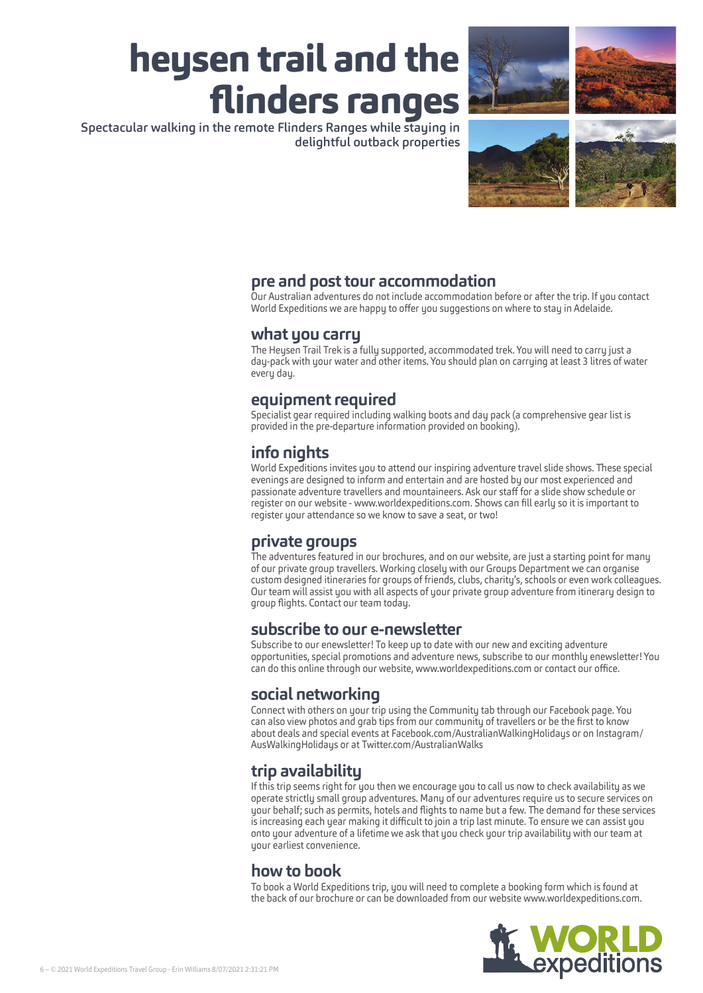delightful outback properties



# **pre and post tour accommodation**

Our Australian adventures do not include accommodation before or after the trip. If you contact World Expeditions we are happy to offer you suggestions on where to stay in Adelaide.

### **what you carry**

The Heysen Trail Trek is a fully supported, accommodated trek. You will need to carry just a day‑pack with your water and other items. You should plan on carrying at least 3 litres of water every day.

## **equipment required**

Specialist gear required including walking boots and day pack (a comprehensive gear list is provided in the pre‑departure information provided on booking).

# **info nights**

World Expeditions invites you to attend our inspiring adventure travel slide shows. These special evenings are designed to inform and entertain and are hosted by our most experienced and passionate adventure travellers and mountaineers. Ask our staff for a slide show schedule or register on our website ‑ www.worldexpeditions.com. Shows can fill early so it is important to register your attendance so we know to save a seat, or two!

## **private groups**

The adventures featured in our brochures, and on our website, are just a starting point for many of our private group travellers. Working closely with our Groups Department we can organise custom designed itineraries for groups of friends, clubs, charity's, schools or even work colleagues. Our team will assist you with all aspects of your private group adventure from itinerary design to group flights. Contact our team today.

## **subscribe to our e-newsletter**

Subscribe to our enewsletter! To keep up to date with our new and exciting adventure opportunities, special promotions and adventure news, subscribe to our monthly enewsletter! You can do this online through our website, www.worldexpeditions.com or contact our office.

# **social networking**

Connect with others on your trip using the Community tab through our Facebook page. You can also view photos and grab tips from our community of travellers or be the first to know about deals and special events at Facebook.com/AustralianWalkingHolidays or on Instagram/ AusWalkingHolidays or at Twitter.com/AustralianWalks

# **trip availability**

If this trip seems right for you then we encourage you to call us now to check availability as we operate strictly small group adventures. Many of our adventures require us to secure services on your behalf; such as permits, hotels and flights to name but a few. The demand for these services is increasing each year making it difficult to join a trip last minute. To ensure we can assist you onto your adventure of a lifetime we ask that you check your trip availability with our team at your earliest convenience.

## **how to book**

To book a World Expeditions trip, you will need to complete a booking form which is found at the back of our brochure or can be downloaded from our website www.worldexpeditions.com.